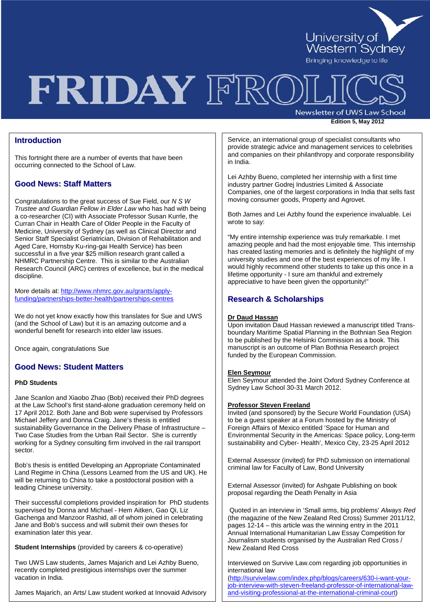

# FRIDAY FRO

Newsletter of UWS Law School

**Edition 5, May <sup>2012</sup>**

## **Introduction**

This fortnight there are a number of events that have been occurring connected to the School of Law.

## **Good News: Staff Matters**

Congratulations to the great success of Sue Field, our *N S W Trustee and Guardian Fellow in Elder Law* who has had with being a co-researcher (CI) with Associate Professor Susan Kurrle, the Curran Chair in Health Care of Older People in the Faculty of Medicine, University of Sydney (as well as Clinical Director and Senior Staff Specialist Geriatrician, Division of Rehabilitation and Aged Care, Hornsby Ku-ring-gai Health Service) has been successful in a five year \$25 million research grant called a NHMRC Partnership Centre. This is similar to the Australian Research Council (ARC) centres of excellence, but in the medical discipline.

More details at[: http://www.nhmrc.gov.au/grants/apply](http://www.nhmrc.gov.au/grants/apply-funding/partnerships-better-health/partnerships-centres)[funding/partnerships-better-health/partnerships-centres](http://www.nhmrc.gov.au/grants/apply-funding/partnerships-better-health/partnerships-centres)

We do not yet know exactly how this translates for Sue and UWS (and the School of Law) but it is an amazing outcome and a wonderful benefit for research into elder law issues.

Once again, congratulations Sue

## **Good News: Student Matters**

### **PhD Students**

Jane Scanlon and Xiaobo Zhao (Bob) received their PhD degrees at the Law School's first stand-alone graduation ceremony held on 17 April 2012. Both Jane and Bob were supervised by Professors Michael Jeffery and Donna Craig. Jane's thesis is entitled sustainability Governance in the Delivery Phase of Infrastructure – Two Case Studies from the Urban Rail Sector. She is currently working for a Sydney consulting firm involved in the rail transport sector.

Bob's thesis is entitled Developing an Appropriate Contaminated Land Regime in China (Lessons Learned from the US and UK). He will be returning to China to take a postdoctoral position with a leading Chinese university.

Their successful completions provided inspiration for PhD students supervised by Donna and Michael - Hem Aitken, Gao Qi, Liz Gachenga and Manzoor Rashid, all of whom joined in celebrating Jane and Bob's success and will submit their own theses for examination later this year.

**Student Internships** (provided by careers & co-operative)

Two UWS Law students, James Majarich and Lei Azhby Bueno, recently completed prestigious internships over the summer vacation in India.

James Majarich, an Arts/ Law student worked at Innovaid Advisory

Service, an international group of specialist consultants who provide strategic advice and management services to celebrities and companies on their philanthropy and corporate responsibility in India.

Lei Azhby Bueno, completed her internship with a first time industry partner Godrej Industries Limited & Associate Companies, one of the largest corporations in India that sells fast moving consumer goods, Property and Agrovet.

Both James and Lei Azbhy found the experience invaluable. Lei wrote to say:

"My entire internship experience was truly remarkable. I met amazing people and had the most enjoyable time. This internship has created lasting memories and is definitely the highlight of my university studies and one of the best experiences of my life. I would highly recommend other students to take up this once in a lifetime opportunity - I sure am thankful and extremely appreciative to have been given the opportunity!"

## **Research & Scholarships**

### **Dr Daud Hassan**

Upon invitation Daud Hassan reviewed a manuscript titled Transboundary Maritime Spatial Planning in the Bothnian Sea Region to be published by the Helsinki Commission as a book. This manuscript is an outcome of Plan Bothnia Research project funded by the European Commission.

### **Elen Seymour**

Elen Seymour attended the Joint Oxford Sydney Conference at Sydney Law School 30-31 March 2012.

### **Professor Steven Freeland**

Invited (and sponsored) by the Secure World Foundation (USA) to be a guest speaker at a Forum hosted by the Ministry of Foreign Affairs of Mexico entitled 'Space for Human and Environmental Security in the Americas: Space policy, Long-term sustainability and Cyber- Health', Mexico City, 23-25 April 2012

External Assessor (invited) for PhD submission on international criminal law for Faculty of Law, Bond University

External Assessor (invited) for Ashgate Publishing on book proposal regarding the Death Penalty in Asia

Quoted in an interview in 'Small arms, big problems' *Always Red* (the magazine of the New Zealand Red Cross) Summer 2011/12, pages 12-14 – this article was the winning entry in the 2011 Annual International Humanitarian Law Essay Competition for Journalism students organised by the Australian Red Cross / New Zealand Red Cross

Interviewed on Survive Law.com regarding job opportunities in international law

[\(http://survivelaw.com/index.php/blogs/careers/630-i-want-your](http://survivelaw.com/index.php/blogs/careers/630-i-want-your-job-interview-with-steven-freeland-professor-of-international-law-and-visiting-professional-at-the-international-criminal-court)[job-interview-with-steven-freeland-professor-of-international-law](http://survivelaw.com/index.php/blogs/careers/630-i-want-your-job-interview-with-steven-freeland-professor-of-international-law-and-visiting-professional-at-the-international-criminal-court)[and-visiting-professional-at-the-international-criminal-court\)](http://survivelaw.com/index.php/blogs/careers/630-i-want-your-job-interview-with-steven-freeland-professor-of-international-law-and-visiting-professional-at-the-international-criminal-court)